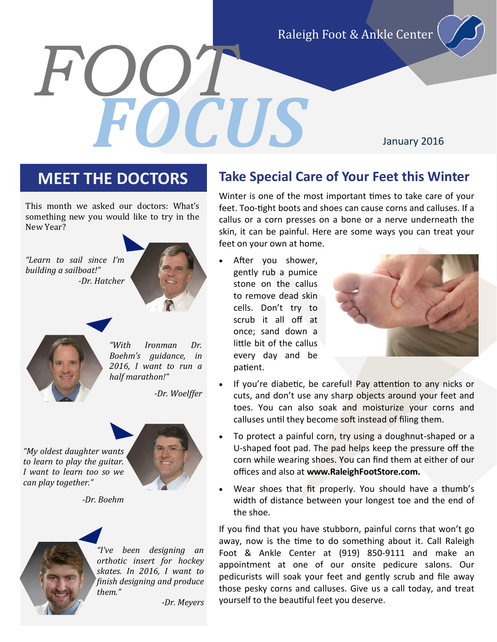Raleigh Foot & Ankle Center

# *FOOT FOCUS*

January 2016

This month we asked our doctors: What's something new you would like to try in the New Year?





*building a sailboat!"*

*"With Ironman Dr. Boehm's guidance, in 2016, I want to run a half marathon!"*

*-Dr. Woelffer*



*-Dr. Boehm*



*"I've been designing an orthotic insert for hockey skates. In 2016, I want to finish designing and produce them."*

*-Dr. Meyers*

### **MEET THE DOCTORS Take Special Care of Your Feet this Winter**

Winter is one of the most important times to take care of your feet. Too-tight boots and shoes can cause corns and calluses. If a callus or a corn presses on a bone or a nerve underneath the skin, it can be painful. Here are some ways you can treat your feet on your own at home.

 After you shower, gently rub a pumice stone on the callus to remove dead skin cells. Don't try to scrub it all off at once; sand down a little bit of the callus every day and be patient.



- If you're diabetic, be careful! Pay attention to any nicks or cuts, and don't use any sharp objects around your feet and toes. You can also soak and moisturize your corns and calluses until they become soft instead of filing them.
- To protect a painful corn, try using a doughnut-shaped or a U-shaped foot pad. The pad helps keep the pressure off the corn while wearing shoes. You can find them at either of our offices and also at **www.RaleighFootStore.com.**
- Wear shoes that fit properly. You should have a thumb's width of distance between your longest toe and the end of the shoe.

If you find that you have stubborn, painful corns that won't go away, now is the time to do something about it. Call Raleigh Foot & Ankle Center at (919) 850-9111 and make an appointment at one of our onsite pedicure salons. Our pedicurists will soak your feet and gently scrub and file away those pesky corns and calluses. Give us a call today, and treat yourself to the beautiful feet you deserve.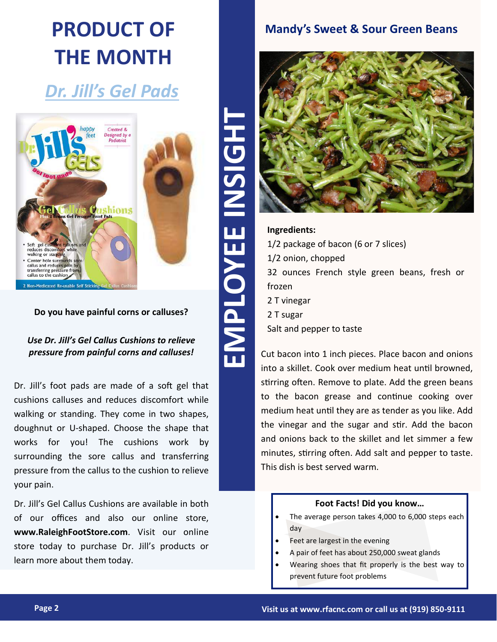## **PRODUCT OF THE MONTH**

## *Dr. Jill's Gel Pads*



**Do you have painful corns or calluses?**

#### *Use Dr. Jill's Gel Callus Cushions to relieve pressure from painful corns and calluses!*

Dr. Jill's foot pads are made of a soft gel that cushions calluses and reduces discomfort while walking or standing. They come in two shapes, doughnut or U-shaped. Choose the shape that works for you! The cushions work by surrounding the sore callus and transferring pressure from the callus to the cushion to relieve your pain.

Dr. Jill's Gel Callus Cushions are available in both of our offices and also our online store, **www.RaleighFootStore.com**. Visit our online store today to purchase Dr. Jill's products or learn more about them today.

#### **Mandy's Sweet & Sour Green Beans**



#### **Ingredients:** 1/2 package of bacon (6 or 7 slices) 1/2 onion, chopped 32 ounces French style green beans, fresh or frozen 2 T vinegar 2 T sugar Salt and pepper to taste

Cut bacon into 1 inch pieces. Place bacon and onions into a skillet. Cook over medium heat until browned, stirring often. Remove to plate. Add the green beans to the bacon grease and continue cooking over medium heat until they are as tender as you like. Add the vinegar and the sugar and stir. Add the bacon and onions back to the skillet and let simmer a few minutes, stirring often. Add salt and pepper to taste. This dish is best served warm.

#### **Foot Facts! Did you know…**

- The average person takes 4,000 to 6,000 steps each day
- Feet are largest in the evening
- A pair of feet has about 250,000 sweat glands
- Wearing shoes that fit properly is the best way to prevent future foot problems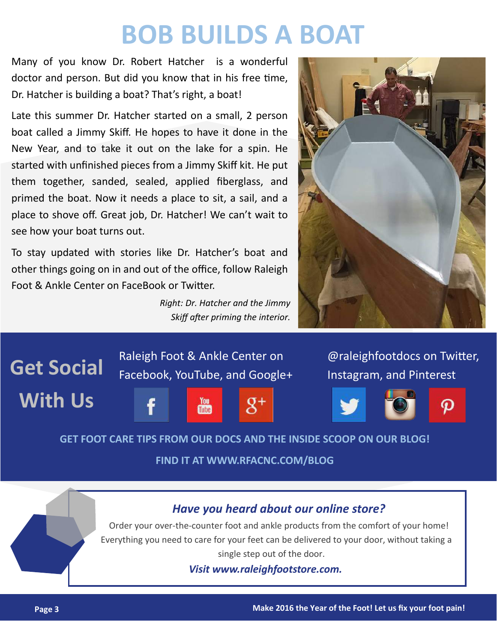## **BOB BUILDS A BOAT**

Many of you know Dr. Robert Hatcher is a wonderful doctor and person. But did you know that in his free time, Dr. Hatcher is building a boat? That's right, a boat!

Late this summer Dr. Hatcher started on a small, 2 person boat called a Jimmy Skiff. He hopes to have it done in the New Year, and to take it out on the lake for a spin. He started with unfinished pieces from a Jimmy Skiff kit. He put them together, sanded, sealed, applied fiberglass, and primed the boat. Now it needs a place to sit, a sail, and a place to shove off. Great job, Dr. Hatcher! We can't wait to see how your boat turns out.

To stay updated with stories like Dr. Hatcher's boat and other things going on in and out of the office, follow Raleigh Foot & Ankle Center on FaceBook or Twitter.

> *Right: Dr. Hatcher and the Jimmy Skiff after priming the interior.*





**FIND IT AT WWW.RFACNC.COM/BLOG**

#### *Have you heard about our online store?*

Order your over-the-counter foot and ankle products from the comfort of your home! Everything you need to care for your feet can be delivered to your door, without taking a single step out of the door.

*Visit www.raleighfootstore.com.*